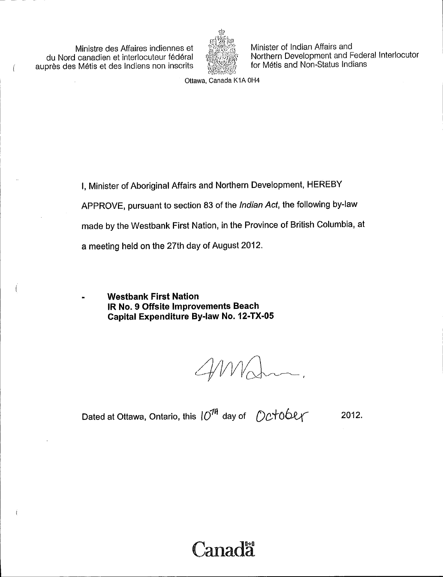Ministre des Affaires indiennes et du Nord canadien et interlocuteur federal auprès des Métis et des Indiens non inscrits

 $\sqrt{ }$ 



Minister of Indian Affairs and Northern Development and Federal Interlocutor for Métis and Non-Status Indians

Ottawa, Canada K1A OH4

I, Minister of Aboriginal Affairs and Northern Development, HEREBY APPROVE, pursuant to section 83 of the Indian Act, the following by-law made by the Westbank First Nation, in the Province of British Columbia, at a meeting held on the 27th day of August 2012.

Westbank First Nation IR No. 9 Offsite Improvements Beach Capital Expenditure By -law No. 12 -TX -05

Dated at Ottawa, Ontario, this  $\ket{O^{7^\mathcal{H}}}$  day of  $\;\;\mathcal{O}\mathcal{C}$ †0 $\mathsf{OPT}$ 2012.

# anada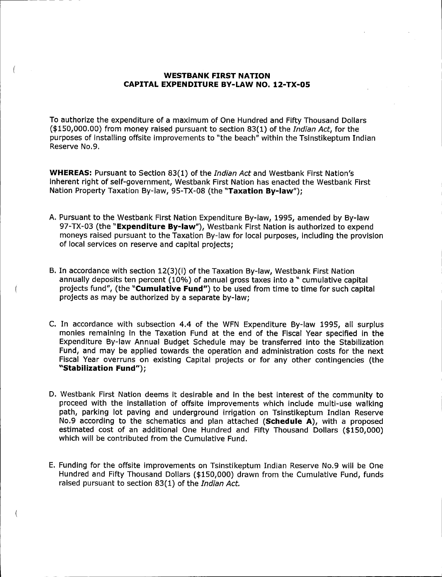### WESTBANK FIRST NATION CAPITAL EXPENDITURE BY-LAW NO. 12-TX-05

 $\left($ 

To authorize the expenditure of a maximum of One Hundred and Fifty Thousand Dollars  $($ \$150,000.00) from money raised pursuant to section 83(1) of the Indian Act, for the purposes of installing offsite improvements to " the beach" within the Tsinstikeptum Indian Reserve No.9.

WHEREAS: Pursuant to Section 83(1) of the *Indian Act* and Westbank First Nation's inherent right of self-government, Westbank First Nation has enacted the Westbank First Nation Property Taxation By-law, 95-TX-08 (the "Taxation By-law");

- A. Pursuant to the Westbank First Nation Expenditure By -law, 1995, amended by By -law 97-TX-03 (the "Expenditure By-law"), Westbank First Nation is authorized to expend moneys raised pursuant to the Taxation By -law for local purposes, including the provision of local services on reserve and capital projects;
- B. In accordance with section 12(3)(1) of the Taxation By-law, Westbank First Nation annually deposits ten percent (10%) of annual gross taxes into a " cumulative capital projects fund", (the "Cumulative Fund") to be used from time to time for such capital projects as may be authorized by a separate by -law;
- C. In accordance with subsection 4.4 of the WFN Expenditure By-law 1995, all surplus monies remaining in the Taxation Fund at the end of the Fiscal Year specified in the Expenditure By -law Annual Budget Schedule may be transferred into the Stabilization Fund, and may be applied towards the operation and administration costs for the next Fiscal Year overruns on existing Capital projects or for any other contingencies ( the "Stabilization Fund");
- D. Westbank First Nation deems it desirable and in the best interest of the community to proceed with the installation of offsite improvements which include multi-use walking path, parking lot paving and underground irrigation on Tsinstikeptum Indian Reserve No.9 according to the schematics and plan attached (Schedule A), with a proposed estimated cost of an additional One Hundred and Fifty Thousand Dollars (\$150,000) which will be contributed from the Cumulative Fund.
- E. Funding for the offsite improvements on Tsinstikeptum Indian Reserve No. 9 will be One Hundred and Fifty Thousand Dollars (\$150,000) drawn from the Cumulative Fund, funds raised pursuant to section 83(1) of the Indian Act.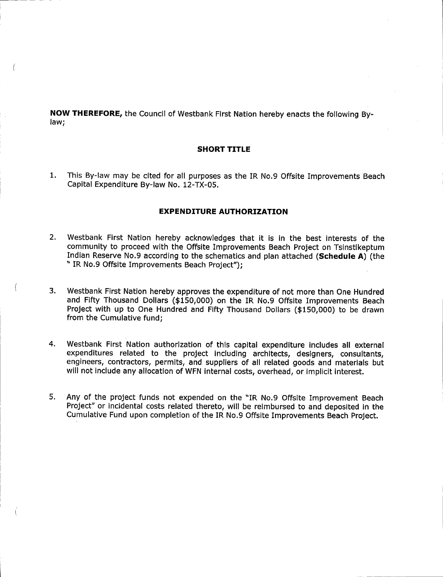NOW THEREFORE, the Council of Westbank First Nation hereby enacts the following Bylaw;

### SHORT TITLE

1. This By -law may be cited for all purposes as the IR No. 9 Offsite Improvements Beach Capital Expenditure By-law No. 12-TX-05.

### EXPENDITURE AUTHORIZATION

- 2. Westbank First Nation hereby acknowledges that it is in the best interests of the community to proceed with the Offsite Improvements Beach Project on Tsinstikeptum Indian Reserve No.9 according to the schematics and plan attached (Schedule A) (the " IR No.9 Offsite Improvements Beach Project");
- 3. Westbank First Nation hereby approves the expenditure of not more than One Hundred and Fifty Thousand Dollars (\$150,000) on the IR No.9 Offsite Improvements Beach Project with up to One Hundred and Fifty Thousand Dollars (\$150,000) to be drawn from the Cumulative fund;
- 4. Westbank First Nation authorization of this capital expenditure includes all external expenditures related to the project including architects, designers, consultants, engineers, contractors, permits, and suppliers of all related goods and materials but will not include any allocation of WFN internal costs, overhead, or implicit interest.
- 5. Any of the project funds not expended on the " IR No. 9 Offsite Improvement Beach Project" or incidental costs related thereto, will be reimbursed to and deposited in the Cumulative Fund upon completion of the IR No. 9 Offsite Improvements Beach Project.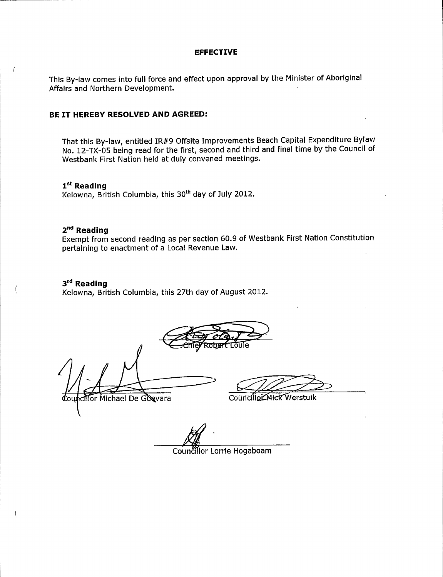#### EFFECTIVE

This By -law comes into full force and effect upon approval by the Minister of Aboriginal Affairs and Northern Development.

### BE IT HEREBY RESOLVED AND AGREED:

That this By -law, entitled IR #9 Offsite Improvements Beach Capital Expenditure Bylaw No. 12 -TX -05 being read for the first, second and third and final time by the Council of Westbank First Nation held at duly convened meetings.

1<sup>st</sup> Reading Kelowna, British Columbia, this 30<sup>th</sup> day of July 2012.

### 2<sup>nd</sup> Reading

 $\left($ 

Exempt from second reading as per section 60. 9 of Westbank First Nation Constitution pertaining to enactment of a Local Revenue Law.

### 3<sup>rd</sup> Reading

Kelowna, British Columbia, this 27th day of August 2012.

Mor Michael De Guevara Councillo Mick Werstuik

Councillor Lorrie Hogaboam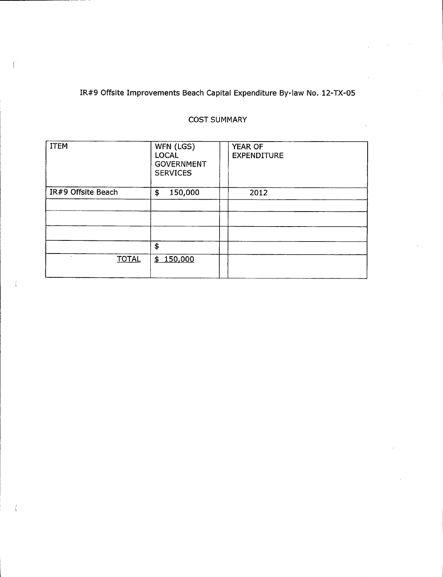# IR#9 Offsite Improvements Beach Capital Expenditure By-law No. 12-TX-05

## COST SUMMARY

| <b>ITEM</b>        | WFN (LGS)<br><b>LOCAL</b><br><b>GOVERNMENT</b><br><b>SERVICES</b> | YEAR OF<br><b>EXPENDITURE</b> |
|--------------------|-------------------------------------------------------------------|-------------------------------|
| IR#9 Offsite Beach | 150,000<br>\$                                                     | 2012                          |
|                    |                                                                   |                               |
|                    |                                                                   |                               |
|                    |                                                                   |                               |
|                    | \$                                                                |                               |
| <b>TOTAL</b>       | \$150,000                                                         |                               |